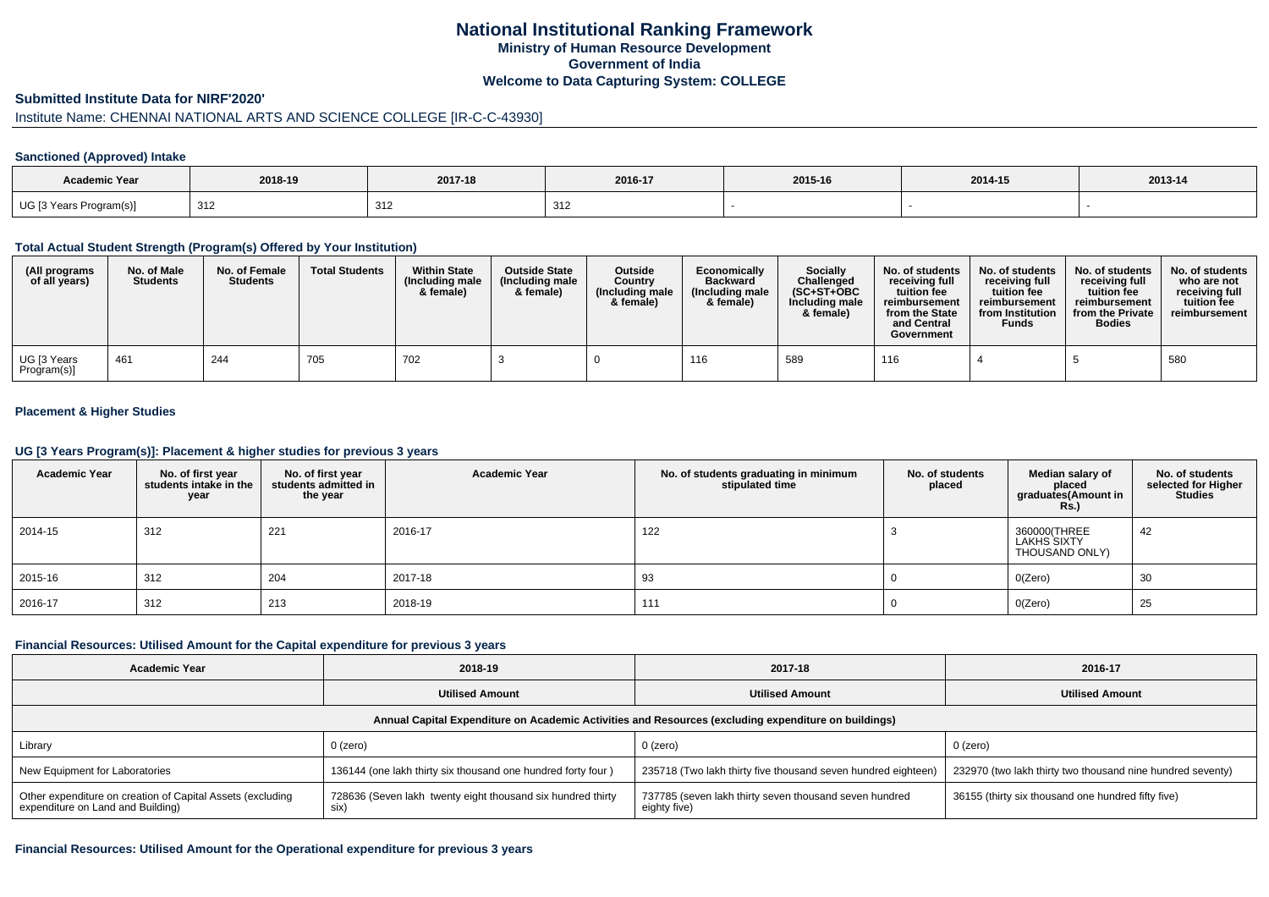## **National Institutional Ranking FrameworkMinistry of Human Resource DevelopmentGovernment of IndiaWelcome to Data Capturing System: COLLEGE**

### **Submitted Institute Data for NIRF'2020'**

# Institute Name: CHENNAI NATIONAL ARTS AND SCIENCE COLLEGE [IR-C-C-43930]

#### **Sanctioned (Approved) Intake**

| Academic Year               |                          |              |         |         |         |         |
|-----------------------------|--------------------------|--------------|---------|---------|---------|---------|
|                             | 2018-19                  | 2017-18      | 2016-17 | 2015-16 | 2014-15 | 2013-14 |
| UG [3 Years F<br>Program(s) | 21 <sup>c</sup><br>ے ا ت | つイつ<br>ے ا ت | 312     |         |         |         |

### **Total Actual Student Strength (Program(s) Offered by Your Institution)**

| (All programs<br>of all years)          | No. of Male<br><b>Students</b> | No. of Female<br><b>Students</b> | <b>Total Students</b> | <b>Within State</b><br>(Including male<br>& female) | <b>Outside State</b><br>(Including male<br>& female) | <b>Outside</b><br>Country<br>(Including male<br>& female) | Economically<br><b>Backward</b><br>(Including male)<br>& female) | Socially<br>Challenged<br>$(SC+ST+OBC$<br>Including male<br>& female) | No. of students<br>receiving full<br>tuition fee<br>reimbursement<br>from the State<br>and Central<br>Government | No. of students<br>receiving full<br>tuition fee<br>reimbursement<br>from Institution<br><b>Funds</b> | No. of students<br>receiving full<br>tuition fee<br>reimbursement<br>from the Private<br><b>Bodies</b> | No. of students<br>who are not<br>receiving full<br>tuition fee<br>reimbursement |
|-----------------------------------------|--------------------------------|----------------------------------|-----------------------|-----------------------------------------------------|------------------------------------------------------|-----------------------------------------------------------|------------------------------------------------------------------|-----------------------------------------------------------------------|------------------------------------------------------------------------------------------------------------------|-------------------------------------------------------------------------------------------------------|--------------------------------------------------------------------------------------------------------|----------------------------------------------------------------------------------|
| <sup>l</sup> UG [3 Years<br>Program(s)] | 461                            | 244                              | 705                   | 702                                                 |                                                      |                                                           | 116                                                              | 589                                                                   | 116                                                                                                              |                                                                                                       |                                                                                                        | 580                                                                              |

### **Placement & Higher Studies**

#### **UG [3 Years Program(s)]: Placement & higher studies for previous 3 years**

| <b>Academic Year</b> | No. of first year<br>students intake in the<br>year | No. of first year<br>students admitted in<br>the year | <b>Academic Year</b> | No. of students graduating in minimum<br>stipulated time | No. of students<br>placed | Median salary of<br>placed<br>graduates(Amount in<br><b>Rs.)</b> | No. of students<br>selected for Higher<br><b>Studies</b> |
|----------------------|-----------------------------------------------------|-------------------------------------------------------|----------------------|----------------------------------------------------------|---------------------------|------------------------------------------------------------------|----------------------------------------------------------|
| 2014-15              | 312                                                 | 221                                                   | 2016-17              | 122                                                      |                           | 360000(THREE<br>LAKHS SIXTY<br>THOUSAND ONLY)                    | 42                                                       |
| 2015-16              | 312                                                 | 204                                                   | 2017-18              | 93                                                       |                           | O(Zero)                                                          | 30                                                       |
| 2016-17              | 312                                                 | 213                                                   | 2018-19              | 111                                                      |                           | O(Zero)                                                          | 25                                                       |

#### **Financial Resources: Utilised Amount for the Capital expenditure for previous 3 years**

| <b>Academic Year</b>                                                                                 | 2018-19                                                             | 2017-18                                                                | 2016-17                                                    |  |  |  |  |  |  |  |  |
|------------------------------------------------------------------------------------------------------|---------------------------------------------------------------------|------------------------------------------------------------------------|------------------------------------------------------------|--|--|--|--|--|--|--|--|
|                                                                                                      | <b>Utilised Amount</b>                                              | <b>Utilised Amount</b>                                                 | <b>Utilised Amount</b>                                     |  |  |  |  |  |  |  |  |
| Annual Capital Expenditure on Academic Activities and Resources (excluding expenditure on buildings) |                                                                     |                                                                        |                                                            |  |  |  |  |  |  |  |  |
| Library                                                                                              | $0$ (zero)                                                          | $0$ (zero)                                                             | 0 (zero)                                                   |  |  |  |  |  |  |  |  |
| New Equipment for Laboratories                                                                       | 136144 (one lakh thirty six thousand one hundred forty four)        | 235718 (Two lakh thirty five thousand seven hundred eighteen)          | 232970 (two lakh thirty two thousand nine hundred seventy) |  |  |  |  |  |  |  |  |
| Other expenditure on creation of Capital Assets (excluding<br>expenditure on Land and Building)      | 728636 (Seven lakh twenty eight thousand six hundred thirty<br>six) | 737785 (seven lakh thirty seven thousand seven hundred<br>eighty five) | 36155 (thirty six thousand one hundred fifty five)         |  |  |  |  |  |  |  |  |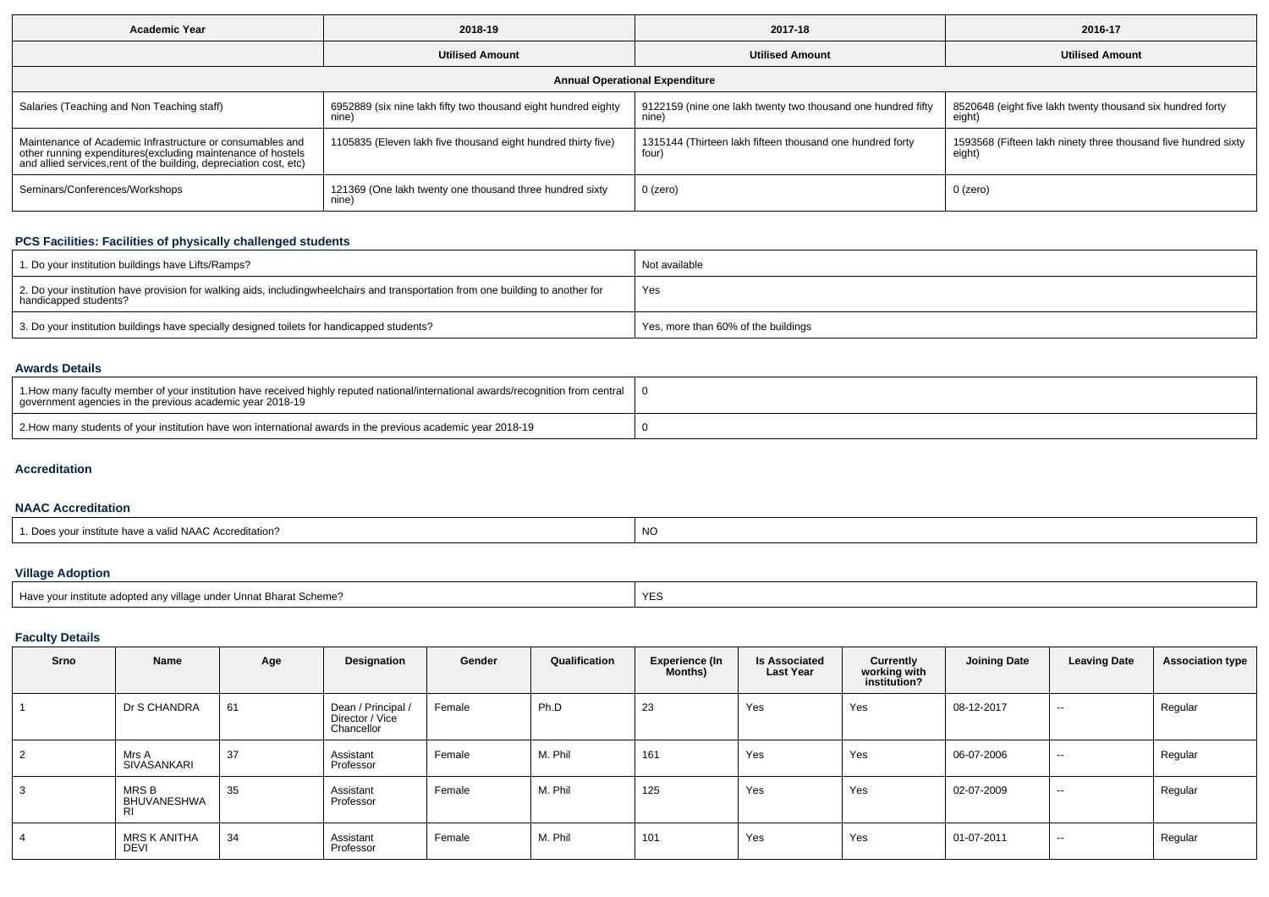| <b>Academic Year</b>                                                                                                                                                                            | 2018-19                                                                 | 2017-18                                                               | 2016-17                                                                  |  |  |  |  |  |  |  |  |
|-------------------------------------------------------------------------------------------------------------------------------------------------------------------------------------------------|-------------------------------------------------------------------------|-----------------------------------------------------------------------|--------------------------------------------------------------------------|--|--|--|--|--|--|--|--|
|                                                                                                                                                                                                 | <b>Utilised Amount</b>                                                  | <b>Utilised Amount</b>                                                | <b>Utilised Amount</b>                                                   |  |  |  |  |  |  |  |  |
| <b>Annual Operational Expenditure</b>                                                                                                                                                           |                                                                         |                                                                       |                                                                          |  |  |  |  |  |  |  |  |
| Salaries (Teaching and Non Teaching staff)                                                                                                                                                      | 6952889 (six nine lakh fifty two thousand eight hundred eighty<br>nine) | 9122159 (nine one lakh twenty two thousand one hundred fifty<br>nine) | 8520648 (eight five lakh twenty thousand six hundred forty<br>eight)     |  |  |  |  |  |  |  |  |
| Maintenance of Academic Infrastructure or consumables and<br>other running expenditures (excluding maintenance of hostels<br>and allied services, rent of the building, depreciation cost, etc) | 1105835 (Eleven lakh five thousand eight hundred thirty five)           | 1315144 (Thirteen lakh fifteen thousand one hundred forty<br>four     | 1593568 (Fifteen lakh ninety three thousand five hundred sixty<br>eight) |  |  |  |  |  |  |  |  |
| Seminars/Conferences/Workshops                                                                                                                                                                  | 121369 (One lakh twenty one thousand three hundred sixty<br>nine)       | 0 (zero)                                                              | 0 (zero)                                                                 |  |  |  |  |  |  |  |  |

### **PCS Facilities: Facilities of physically challenged students**

| 1. Do your institution buildings have Lifts/Ramps?                                                                                                        | Not available                       |
|-----------------------------------------------------------------------------------------------------------------------------------------------------------|-------------------------------------|
| 2. Do your institution have provision for walking aids, includingwheelchairs and transportation from one building to another for<br>handicapped students? | Yes                                 |
| 3. Do your institution buildings have specially designed toilets for handicapped students?                                                                | Yes, more than 60% of the buildings |

### **Awards Details**

| 1 1.How many faculty member of your institution have received highly reputed national/international awards/recognition from central 1<br>government agencies in the previous academic year 2018-19 |  |
|----------------------------------------------------------------------------------------------------------------------------------------------------------------------------------------------------|--|
| 2. How many students of your institution have won international awards in the previous academic year 2018-19                                                                                       |  |

### **Accreditation**

## **NAAC Accreditation**

## **Village Adoption**

| Have your institute adopted any village under Unnat Bharat Scheme? | YE. |
|--------------------------------------------------------------------|-----|
|                                                                    |     |

## **Faculty Details**

| Srno           | Name                        | Age | Designation                                         | Gender | Qualification | <b>Experience (In</b><br><b>Months)</b> | <b>Is Associated</b><br><b>Last Year</b> | Currently<br>working with<br>institution? | Joining Date | <b>Leaving Date</b>      | <b>Association type</b> |
|----------------|-----------------------------|-----|-----------------------------------------------------|--------|---------------|-----------------------------------------|------------------------------------------|-------------------------------------------|--------------|--------------------------|-------------------------|
|                | Dr S CHANDRA                | 61  | Dean / Principal /<br>Director / Vice<br>Chancellor | Female | Ph.D          | 23                                      | Yes                                      | Yes                                       | 08-12-2017   | $\sim$                   | Regular                 |
| $\overline{2}$ | Mrs A<br>SIVASANKARI        | 37  | Assistant<br>Professor                              | Female | M. Phil       | 161                                     | Yes                                      | Yes                                       | 06-07-2006   | $\sim$                   | Regular                 |
| 3              | MRS B<br>BHUVANESHWA<br>-RI | 35  | Assistant<br>Professor                              | Female | M. Phil       | 125                                     | Yes                                      | Yes                                       | 02-07-2009   | $\sim$                   | Regular                 |
| 4              | MRS K ANITHA<br>DEVI        | 34  | Assistant<br>Professor                              | Female | M. Phil       | 101                                     | Yes                                      | Yes                                       | 01-07-2011   | $\overline{\phantom{a}}$ | Regular                 |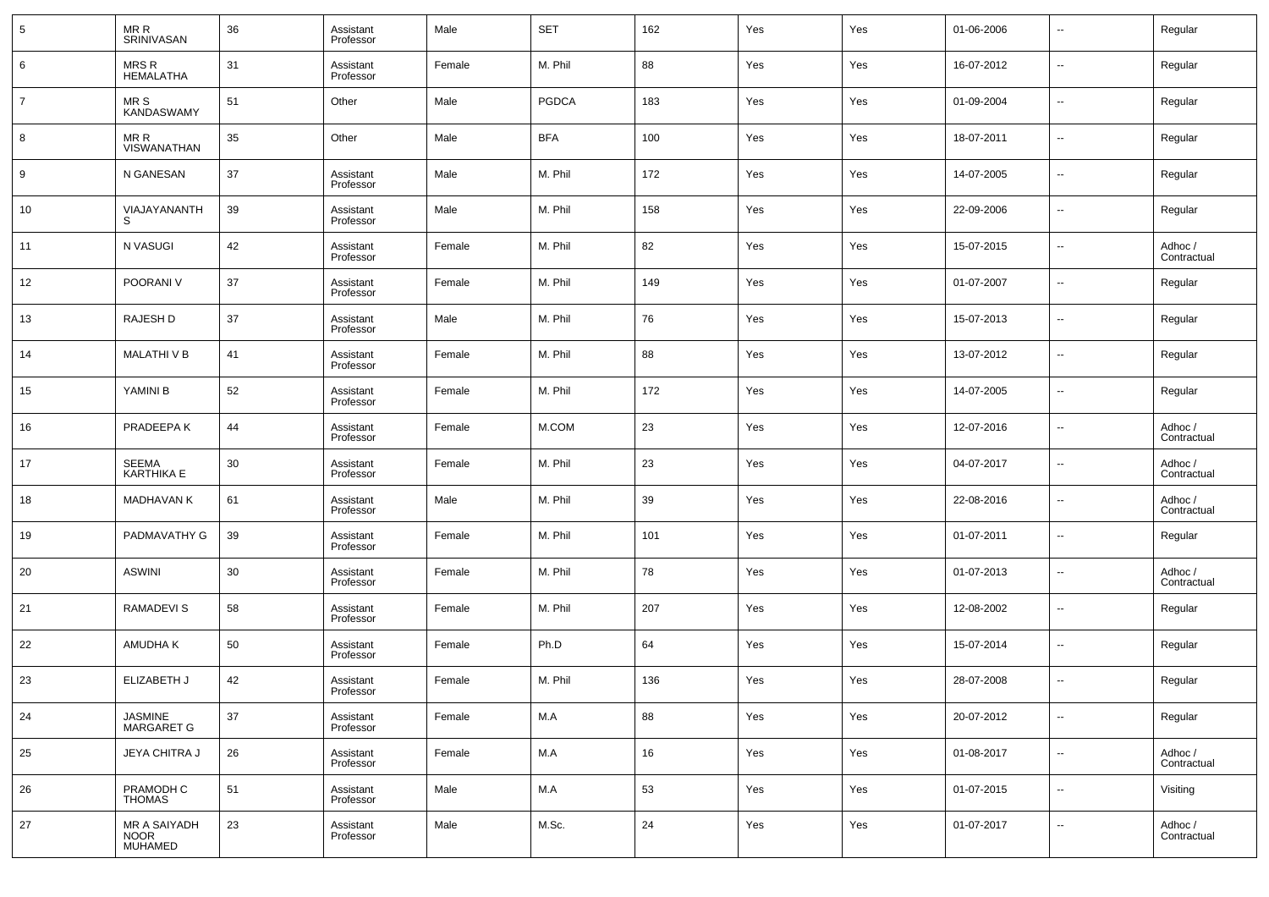| 5              | MR R<br><b>SRINIVASAN</b>                     | 36 | Assistant<br>Professor | Male   | <b>SET</b>   | 162 | Yes | Yes | 01-06-2006 | $\overline{\phantom{a}}$ | Regular                |
|----------------|-----------------------------------------------|----|------------------------|--------|--------------|-----|-----|-----|------------|--------------------------|------------------------|
| 6              | <b>MRSR</b><br><b>HEMALATHA</b>               | 31 | Assistant<br>Professor | Female | M. Phil      | 88  | Yes | Yes | 16-07-2012 | $\overline{\phantom{a}}$ | Regular                |
| $\overline{7}$ | MR S<br><b>KANDASWAMY</b>                     | 51 | Other                  | Male   | <b>PGDCA</b> | 183 | Yes | Yes | 01-09-2004 | $\overline{\phantom{a}}$ | Regular                |
| 8              | MR R<br>VISWANATHAN                           | 35 | Other                  | Male   | <b>BFA</b>   | 100 | Yes | Yes | 18-07-2011 | $\overline{\phantom{a}}$ | Regular                |
| 9              | N GANESAN                                     | 37 | Assistant<br>Professor | Male   | M. Phil      | 172 | Yes | Yes | 14-07-2005 | $\overline{\phantom{a}}$ | Regular                |
| 10             | VIAJAYANANTH<br>S                             | 39 | Assistant<br>Professor | Male   | M. Phil      | 158 | Yes | Yes | 22-09-2006 | $\overline{\phantom{a}}$ | Regular                |
| 11             | N VASUGI                                      | 42 | Assistant<br>Professor | Female | M. Phil      | 82  | Yes | Yes | 15-07-2015 | $\overline{\phantom{a}}$ | Adhoc /<br>Contractual |
| 12             | POORANI V                                     | 37 | Assistant<br>Professor | Female | M. Phil      | 149 | Yes | Yes | 01-07-2007 | $\overline{\phantom{a}}$ | Regular                |
| 13             | <b>RAJESH D</b>                               | 37 | Assistant<br>Professor | Male   | M. Phil      | 76  | Yes | Yes | 15-07-2013 | $\overline{\phantom{a}}$ | Regular                |
| 14             | MALATHI V B                                   | 41 | Assistant<br>Professor | Female | M. Phil      | 88  | Yes | Yes | 13-07-2012 | $\overline{\phantom{a}}$ | Regular                |
| 15             | YAMINI B                                      | 52 | Assistant<br>Professor | Female | M. Phil      | 172 | Yes | Yes | 14-07-2005 | $\overline{\phantom{a}}$ | Regular                |
| 16             | PRADEEPA K                                    | 44 | Assistant<br>Professor | Female | M.COM        | 23  | Yes | Yes | 12-07-2016 | $\overline{\phantom{a}}$ | Adhoc /<br>Contractual |
| 17             | <b>SEEMA</b><br><b>KARTHIKA E</b>             | 30 | Assistant<br>Professor | Female | M. Phil      | 23  | Yes | Yes | 04-07-2017 | $\overline{\phantom{a}}$ | Adhoc /<br>Contractual |
| 18             | <b>MADHAVAN K</b>                             | 61 | Assistant<br>Professor | Male   | M. Phil      | 39  | Yes | Yes | 22-08-2016 | $\overline{\phantom{a}}$ | Adhoc /<br>Contractual |
| 19             | PADMAVATHY G                                  | 39 | Assistant<br>Professor | Female | M. Phil      | 101 | Yes | Yes | 01-07-2011 | $\overline{\phantom{a}}$ | Regular                |
| 20             | <b>ASWINI</b>                                 | 30 | Assistant<br>Professor | Female | M. Phil      | 78  | Yes | Yes | 01-07-2013 | $\overline{\phantom{a}}$ | Adhoc /<br>Contractual |
| 21             | <b>RAMADEVIS</b>                              | 58 | Assistant<br>Professor | Female | M. Phil      | 207 | Yes | Yes | 12-08-2002 | $\overline{\phantom{a}}$ | Regular                |
| 22             | AMUDHA K                                      | 50 | Assistant<br>Professor | Female | Ph.D         | 64  | Yes | Yes | 15-07-2014 | $\overline{\phantom{a}}$ | Regular                |
| 23             | ELIZABETH J                                   | 42 | Assistant<br>Professor | Female | M. Phil      | 136 | Yes | Yes | 28-07-2008 | $\overline{\phantom{a}}$ | Regular                |
| 24             | JASMINE<br>MARGARET G                         | 37 | Assistant<br>Professor | Female | M.A          | 88  | Yes | Yes | 20-07-2012 | $\overline{\phantom{a}}$ | Regular                |
| 25             | <b>JEYA CHITRA J</b>                          | 26 | Assistant<br>Professor | Female | M.A          | 16  | Yes | Yes | 01-08-2017 | $\overline{\phantom{a}}$ | Adhoc /<br>Contractual |
| 26             | PRAMODH C<br><b>THOMAS</b>                    | 51 | Assistant<br>Professor | Male   | M.A          | 53  | Yes | Yes | 01-07-2015 | ۰.                       | Visiting               |
| 27             | MR A SAIYADH<br><b>NOOR</b><br><b>MUHAMED</b> | 23 | Assistant<br>Professor | Male   | M.Sc.        | 24  | Yes | Yes | 01-07-2017 | $\overline{\phantom{a}}$ | Adhoc /<br>Contractual |